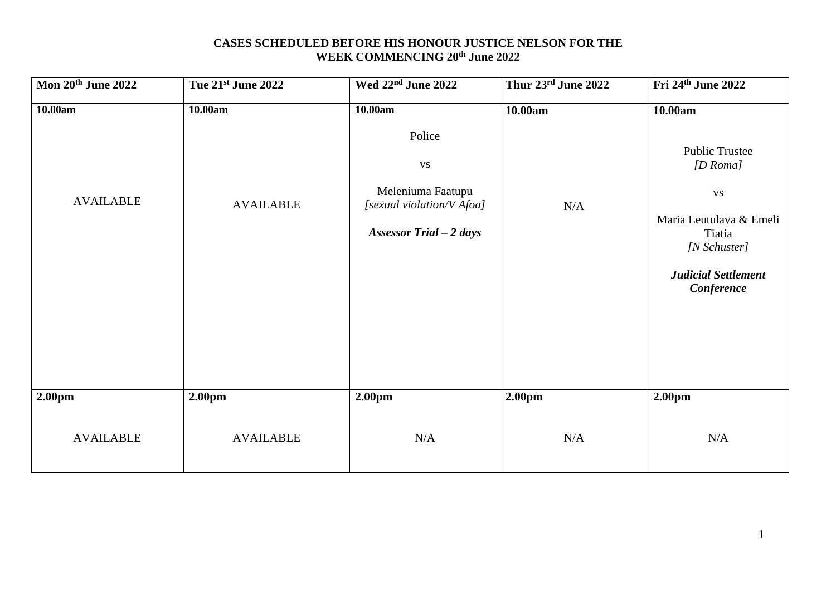### **CASES SCHEDULED BEFORE HIS HONOUR JUSTICE NELSON FOR THE WEEK COMMENCING 20th June 2022**

| Mon 20th June 2022 | Tue 21st June 2022 | Wed 22 <sup>nd</sup> June 2022                                                                    | Thur 23rd June 2022 | Fri 24th June 2022                                                                                                                                |
|--------------------|--------------------|---------------------------------------------------------------------------------------------------|---------------------|---------------------------------------------------------------------------------------------------------------------------------------------------|
| 10.00am            | 10.00am            | 10.00am                                                                                           | 10.00am             | 10.00am                                                                                                                                           |
| <b>AVAILABLE</b>   | <b>AVAILABLE</b>   | Police<br><b>VS</b><br>Meleniuma Faatupu<br>[sexual violation/V Afoa]<br>Assessor Trial $-2$ days | N/A                 | <b>Public Trustee</b><br>$[D$ Roma]<br><b>VS</b><br>Maria Leutulava & Emeli<br>Tiatia<br>[N Schuster]<br><b>Judicial Settlement</b><br>Conference |
| 2.00pm             | 2.00pm             | 2.00pm                                                                                            | 2.00pm              | 2.00pm                                                                                                                                            |
| <b>AVAILABLE</b>   | <b>AVAILABLE</b>   | N/A                                                                                               | N/A                 | N/A                                                                                                                                               |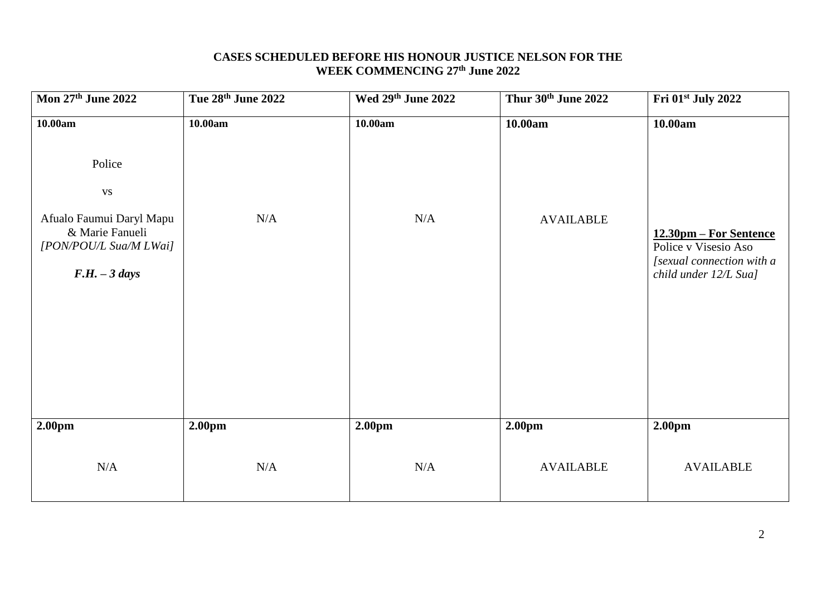### **CASES SCHEDULED BEFORE HIS HONOUR JUSTICE NELSON FOR THE WEEK COMMENCING 27 th June 2022**

| Mon 27th June 2022                                                                          | Tue 28th June 2022 | Wed 29th June 2022 | Thur 30th June 2022 | Fri 01 <sup>st</sup> July 2022                                                                       |
|---------------------------------------------------------------------------------------------|--------------------|--------------------|---------------------|------------------------------------------------------------------------------------------------------|
| 10.00am                                                                                     | 10.00am            | 10.00am            | 10.00am             | 10.00am                                                                                              |
| Police<br><b>VS</b>                                                                         |                    |                    |                     |                                                                                                      |
| Afualo Faumui Daryl Mapu<br>& Marie Fanueli<br>[PON/POU/L Sua/M LWai]<br>$F.H. - 3 \, days$ | N/A                | $\rm N/A$          | <b>AVAILABLE</b>    | 12.30pm – For Sentence<br>Police v Visesio Aso<br>[sexual connection with a<br>child under 12/L Sua] |
| 2.00pm                                                                                      | 2.00pm             | 2.00pm             | 2.00 <sub>pm</sub>  | 2.00pm                                                                                               |
| N/A                                                                                         | N/A                | $\rm N/A$          | <b>AVAILABLE</b>    | <b>AVAILABLE</b>                                                                                     |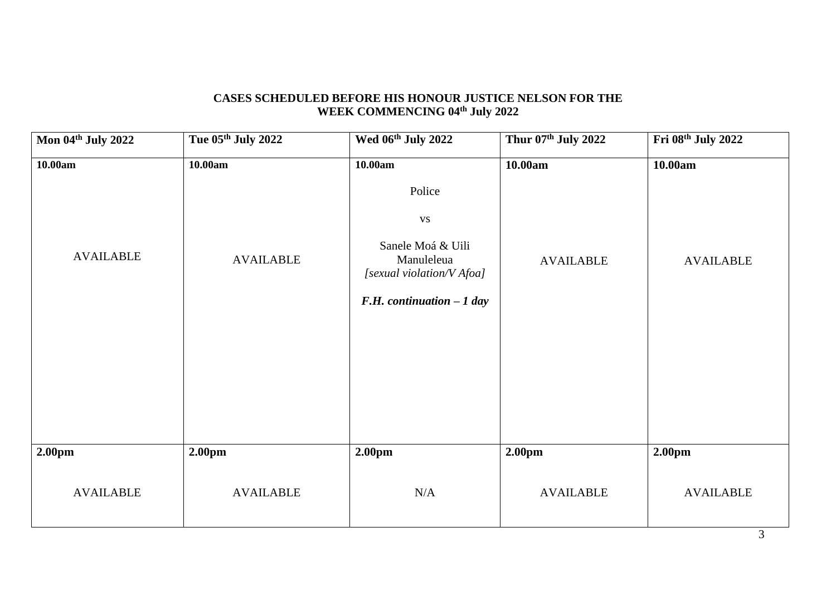# **CASES SCHEDULED BEFORE HIS HONOUR JUSTICE NELSON FOR THE WEEK COMMENCING 04th July 2022**

| Mon 04th July 2022 | Tue 05th July 2022 | Wed 06th July 2022                                                                                                             | Thur 07th July 2022 | Fri 08th July 2022 |
|--------------------|--------------------|--------------------------------------------------------------------------------------------------------------------------------|---------------------|--------------------|
| 10.00am            | 10.00am            | 10.00am                                                                                                                        | 10.00am             | 10.00am            |
| <b>AVAILABLE</b>   | <b>AVAILABLE</b>   | Police<br>$\mathbf{V}\mathbf{S}$<br>Sanele Moá & Uili<br>Manuleleua<br>[sexual violation/V Afoa]<br>F.H. continuation $-1$ day | <b>AVAILABLE</b>    | <b>AVAILABLE</b>   |
| 2.00pm             | 2.00pm             | 2.00pm                                                                                                                         | 2.00pm              | 2.00pm             |
| <b>AVAILABLE</b>   | <b>AVAILABLE</b>   | N/A                                                                                                                            | <b>AVAILABLE</b>    | <b>AVAILABLE</b>   |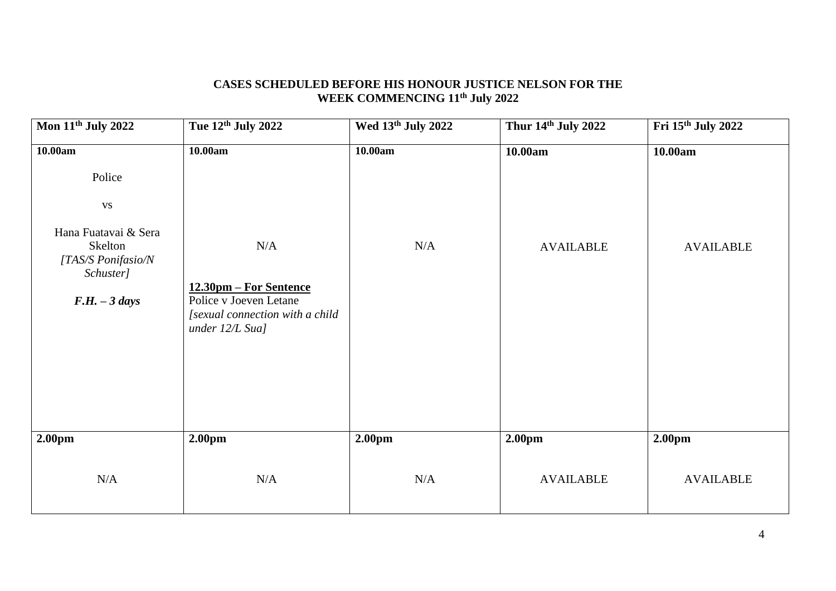## **CASES SCHEDULED BEFORE HIS HONOUR JUSTICE NELSON FOR THE WEEK COMMENCING 11th July 2022**

| Mon 11 <sup>th</sup> July 2022                                                                                             | Tue 12th July 2022                                                                                                         | Wed 13th July 2022 | Thur 14th July 2022         | Fri 15th July 2022                     |
|----------------------------------------------------------------------------------------------------------------------------|----------------------------------------------------------------------------------------------------------------------------|--------------------|-----------------------------|----------------------------------------|
| 10.00am<br>Police<br><b>VS</b><br>Hana Fuatavai & Sera<br>Skelton<br>[TAS/S Ponifasio/N<br>Schuster]<br>$F.H. - 3 \, days$ | 10.00am<br>N/A<br>12.30pm – For Sentence<br>Police v Joeven Letane<br>[sexual connection with a child<br>under $12/L$ Sua] | 10.00am<br>N/A     | 10.00am<br><b>AVAILABLE</b> | 10.00am<br><b>AVAILABLE</b>            |
| 2.00 <sub>pm</sub><br>N/A                                                                                                  | 2.00 <sub>pm</sub><br>N/A                                                                                                  | 2.00pm<br>N/A      | 2.00pm<br><b>AVAILABLE</b>  | 2.00 <sub>pm</sub><br><b>AVAILABLE</b> |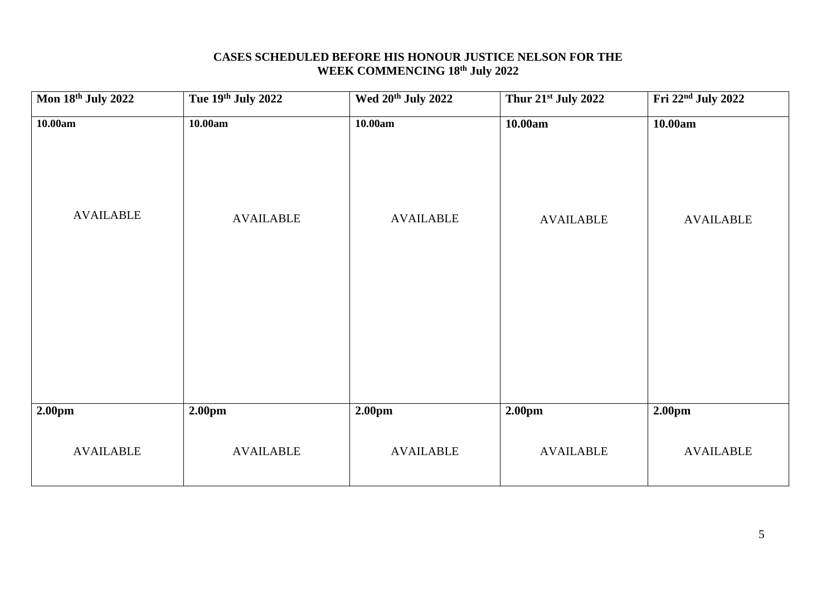### **CASES SCHEDULED BEFORE HIS HONOUR JUSTICE NELSON FOR THE WEEK COMMENCING 18 th July 2022**

| Mon 18th July 2022          | Tue 19th July 2022          | Wed 20 <sup>th</sup> July 2022 | Thur 21st July 2022         | Fri 22 <sup>nd</sup> July 2022 |
|-----------------------------|-----------------------------|--------------------------------|-----------------------------|--------------------------------|
| 10.00am<br><b>AVAILABLE</b> | 10.00am<br><b>AVAILABLE</b> | 10.00am<br><b>AVAILABLE</b>    | 10.00am<br><b>AVAILABLE</b> | 10.00am<br><b>AVAILABLE</b>    |
| 2.00pm                      | 2.00pm                      | 2.00pm                         | 2.00 <sub>pm</sub>          | 2.00pm                         |
| <b>AVAILABLE</b>            | <b>AVAILABLE</b>            | <b>AVAILABLE</b>               | <b>AVAILABLE</b>            | <b>AVAILABLE</b>               |